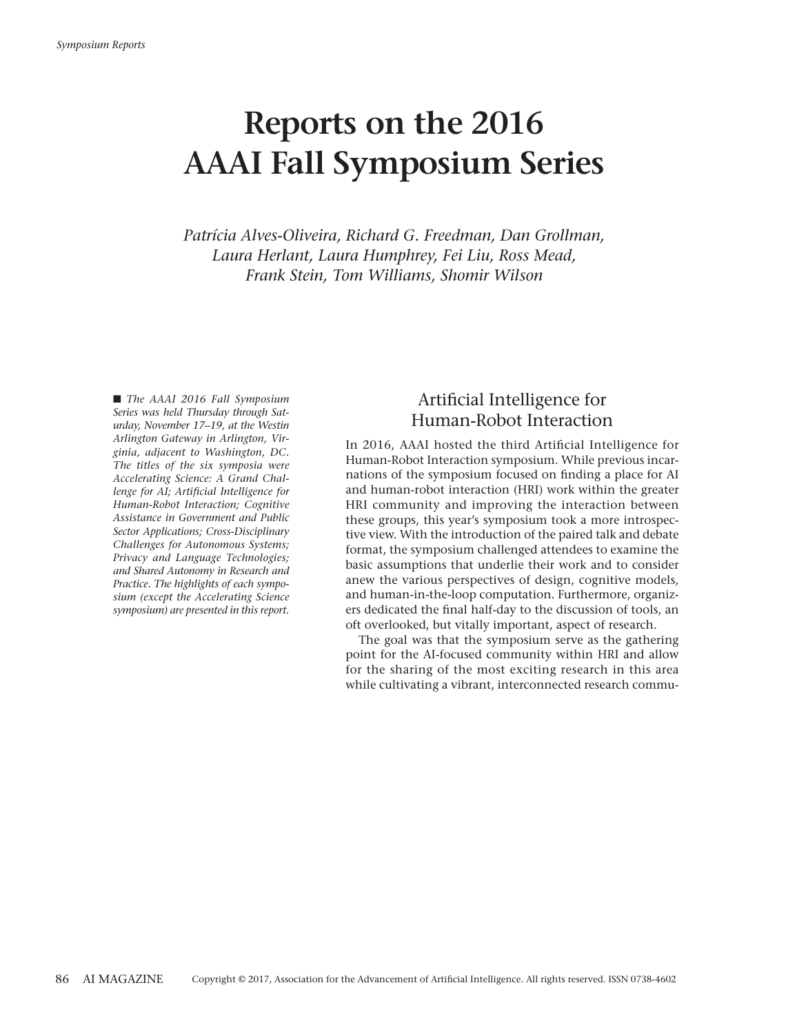# **Reports on the 2016 AAAI Fall Symposium Series**

*Patrícia Alves-Oliveira, Richard G. Freedman, Dan Grollman, Laura Herlant, Laura Humphrey, Fei Liu, Ross Mead, Frank Stein, Tom Williams, Shomir Wilson*

■ *The AAAI* 2016 *Fall* Symposium *Series was held Thursday through Saturday, November 17–19, at the Westin Arlington Gateway in Arlington, Virginia, adjacent to Washington, DC. The titles of the six symposia were Accelerating Science: A Grand Challenge for AI; Artificial Intelligence for Human-Robot Interaction; Cognitive Assistance in Government and Public Sector Applications; Cross-Disciplinary Challenges for Autonomous Systems; Privacy and Language Technologies; and Shared Autonomy in Research and Practice. The highlights of each symposium (except the Accelerating Science symposium) are presented in this report.*

## Artificial Intelligence for Human-Robot Interaction

In 2016, AAAI hosted the third Artificial Intelligence for Human-Robot Interaction symposium. While previous incarnations of the symposium focused on finding a place for AI and human-robot interaction (HRI) work within the greater HRI community and improving the interaction between these groups, this year's symposium took a more introspective view. With the introduction of the paired talk and debate format, the symposium challenged attendees to examine the basic assumptions that underlie their work and to consider anew the various perspectives of design, cognitive models, and human-in-the-loop computation. Furthermore, organizers dedicated the final half-day to the discussion of tools, an oft overlooked, but vitally important, aspect of research.

The goal was that the symposium serve as the gathering point for the AI-focused community within HRI and allow for the sharing of the most exciting research in this area while cultivating a vibrant, interconnected research commu-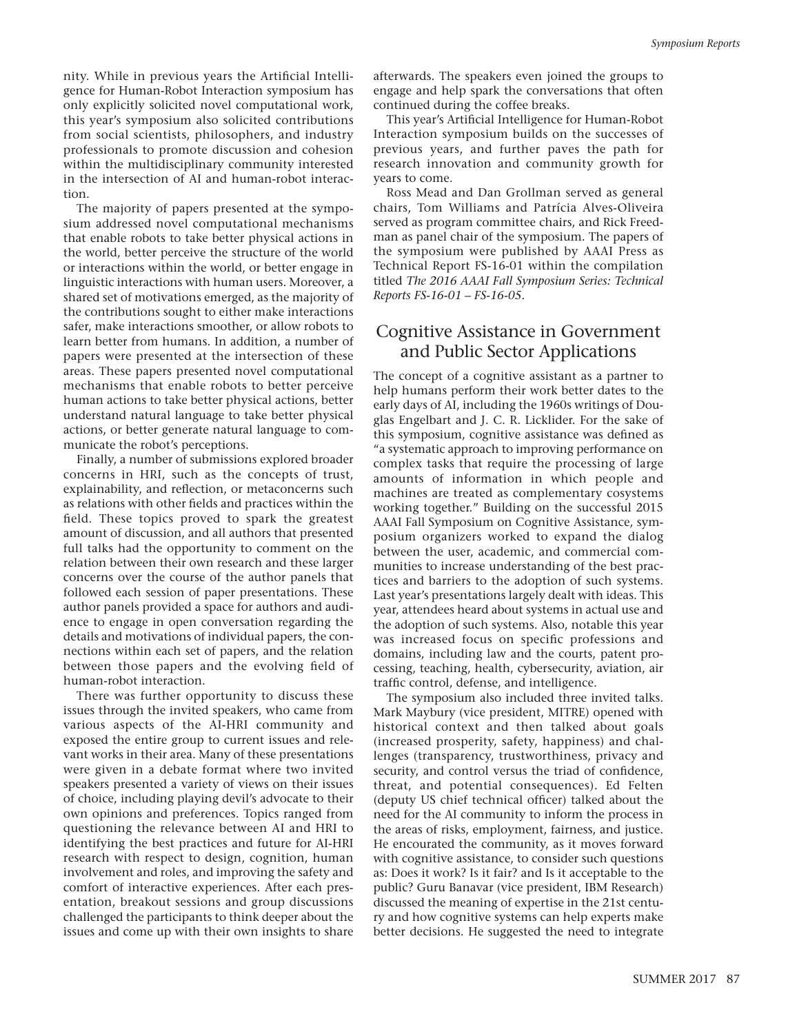nity. While in previous years the Artificial Intelligence for Human-Robot Interaction symposium has only explicitly solicited novel computational work, this year's symposium also solicited contributions from social scientists, philosophers, and industry professionals to promote discussion and cohesion within the multidisciplinary community interested in the intersection of AI and human-robot interaction.

The majority of papers presented at the symposium addressed novel computational mechanisms that enable robots to take better physical actions in the world, better perceive the structure of the world or interactions within the world, or better engage in linguistic interactions with human users. Moreover, a shared set of motivations emerged, as the majority of the contributions sought to either make interactions safer, make interactions smoother, or allow robots to learn better from humans. In addition, a number of papers were presented at the intersection of these areas. These papers presented novel computational mechanisms that enable robots to better perceive human actions to take better physical actions, better understand natural language to take better physical actions, or better generate natural language to communicate the robot's perceptions.

Finally, a number of submissions explored broader concerns in HRI, such as the concepts of trust, explainability, and reflection, or metaconcerns such as relations with other fields and practices within the field. These topics proved to spark the greatest amount of discussion, and all authors that presented full talks had the opportunity to comment on the relation between their own research and these larger concerns over the course of the author panels that followed each session of paper presentations. These author panels provided a space for authors and audience to engage in open conversation regarding the details and motivations of individual papers, the connections within each set of papers, and the relation between those papers and the evolving field of human-robot interaction.

There was further opportunity to discuss these issues through the invited speakers, who came from various aspects of the AI-HRI community and exposed the entire group to current issues and relevant works in their area. Many of these presentations were given in a debate format where two invited speakers presented a variety of views on their issues of choice, including playing devil's advocate to their own opinions and preferences. Topics ranged from questioning the relevance between AI and HRI to identifying the best practices and future for AI-HRI research with respect to design, cognition, human involvement and roles, and improving the safety and comfort of interactive experiences. After each presentation, breakout sessions and group discussions challenged the participants to think deeper about the issues and come up with their own insights to share

afterwards. The speakers even joined the groups to engage and help spark the conversations that often continued during the coffee breaks.

This year's Artificial Intelligence for Human-Robot Interaction symposium builds on the successes of previous years, and further paves the path for research innovation and community growth for years to come.

Ross Mead and Dan Grollman served as general chairs, Tom Williams and Patrícia Alves-Oliveira served as program committee chairs, and Rick Freedman as panel chair of the symposium. The papers of the symposium were published by AAAI Press as Technical Report FS-16-01 within the compilation titled *The 2016 AAAI Fall Symposium Series: Technical Reports FS-16-01 – FS-16-05.*

## Cognitive Assistance in Government and Public Sector Applications

The concept of a cognitive assistant as a partner to help humans perform their work better dates to the early days of AI, including the 1960s writings of Douglas Engelbart and J. C. R. Licklider. For the sake of this symposium, cognitive assistance was defined as "a systematic approach to improving performance on complex tasks that require the processing of large amounts of information in which people and machines are treated as complementary cosystems working together." Building on the successful 2015 AAAI Fall Symposium on Cognitive Assistance, symposium organizers worked to expand the dialog between the user, academic, and commercial communities to increase understanding of the best practices and barriers to the adoption of such systems. Last year's presentations largely dealt with ideas. This year, attendees heard about systems in actual use and the adoption of such systems. Also, notable this year was increased focus on specific professions and domains, including law and the courts, patent processing, teaching, health, cybersecurity, aviation, air traffic control, defense, and intelligence.

The symposium also included three invited talks. Mark Maybury (vice president, MITRE) opened with historical context and then talked about goals (increased prosperity, safety, happiness) and challenges (transparency, trustworthiness, privacy and security, and control versus the triad of confidence, threat, and potential consequences). Ed Felten (deputy US chief technical officer) talked about the need for the AI community to inform the process in the areas of risks, employment, fairness, and justice. He encourated the community, as it moves forward with cognitive assistance, to consider such questions as: Does it work? Is it fair? and Is it acceptable to the public? Guru Banavar (vice president, IBM Research) discussed the meaning of expertise in the 21st century and how cognitive systems can help experts make better decisions. He suggested the need to integrate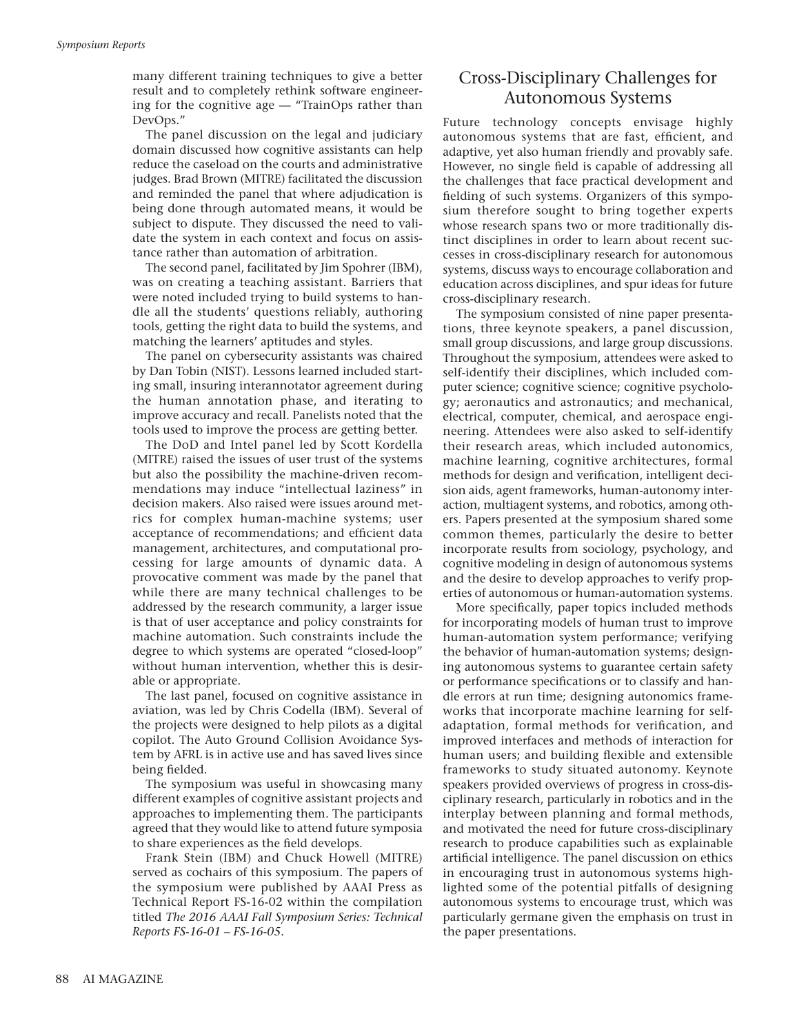many different training techniques to give a better result and to completely rethink software engineering for the cognitive age — "TrainOps rather than DevOps."

The panel discussion on the legal and judiciary domain discussed how cognitive assistants can help reduce the caseload on the courts and administrative judges. Brad Brown (MITRE) facilitated the discussion and reminded the panel that where adjudication is being done through automated means, it would be subject to dispute. They discussed the need to validate the system in each context and focus on assistance rather than automation of arbitration.

The second panel, facilitated by Jim Spohrer (IBM), was on creating a teaching assistant. Barriers that were noted included trying to build systems to handle all the students' questions reliably, authoring tools, getting the right data to build the systems, and matching the learners' aptitudes and styles.

The panel on cybersecurity assistants was chaired by Dan Tobin (NIST). Lessons learned included starting small, insuring interannotator agreement during the human annotation phase, and iterating to improve accuracy and recall. Panelists noted that the tools used to improve the process are getting better.

The DoD and Intel panel led by Scott Kordella (MITRE) raised the issues of user trust of the systems but also the possibility the machine-driven recommendations may induce "intellectual laziness" in decision makers. Also raised were issues around metrics for complex human-machine systems; user acceptance of recommendations; and efficient data management, architectures, and computational processing for large amounts of dynamic data. A provocative comment was made by the panel that while there are many technical challenges to be addressed by the research community, a larger issue is that of user acceptance and policy constraints for machine automation. Such constraints include the degree to which systems are operated "closed-loop" without human intervention, whether this is desirable or appropriate.

The last panel, focused on cognitive assistance in aviation, was led by Chris Codella (IBM). Several of the projects were designed to help pilots as a digital copilot. The Auto Ground Collision Avoidance System by AFRL is in active use and has saved lives since being fielded.

The symposium was useful in showcasing many different examples of cognitive assistant projects and approaches to implementing them. The participants agreed that they would like to attend future symposia to share experiences as the field develops.

Frank Stein (IBM) and Chuck Howell (MITRE) served as cochairs of this symposium. The papers of the symposium were published by AAAI Press as Technical Report FS-16-02 within the compilation titled *The 2016 AAAI Fall Symposium Series: Technical Reports FS-16-01 – FS-16-05.*

## Cross-Disciplinary Challenges for Autonomous Systems

Future technology concepts envisage highly autonomous systems that are fast, efficient, and adaptive, yet also human friendly and provably safe. However, no single field is capable of addressing all the challenges that face practical development and fielding of such systems. Organizers of this symposium therefore sought to bring together experts whose research spans two or more traditionally distinct disciplines in order to learn about recent successes in cross-disciplinary research for autonomous systems, discuss ways to encourage collaboration and education across disciplines, and spur ideas for future cross-disciplinary research.

The symposium consisted of nine paper presentations, three keynote speakers, a panel discussion, small group discussions, and large group discussions. Throughout the symposium, attendees were asked to self-identify their disciplines, which included computer science; cognitive science; cognitive psychology; aeronautics and astronautics; and mechanical, electrical, computer, chemical, and aerospace engineering. Attendees were also asked to self-identify their research areas, which included autonomics, machine learning, cognitive architectures, formal methods for design and verification, intelligent decision aids, agent frameworks, human-autonomy interaction, multiagent systems, and robotics, among others. Papers presented at the symposium shared some common themes, particularly the desire to better incorporate results from sociology, psychology, and cognitive modeling in design of autonomous systems and the desire to develop approaches to verify properties of autonomous or human-automation systems.

More specifically, paper topics included methods for incorporating models of human trust to improve human-automation system performance; verifying the behavior of human-automation systems; designing autonomous systems to guarantee certain safety or performance specifications or to classify and handle errors at run time; designing autonomics frameworks that incorporate machine learning for selfadaptation, formal methods for verification, and improved interfaces and methods of interaction for human users; and building flexible and extensible frameworks to study situated autonomy. Keynote speakers provided overviews of progress in cross-disciplinary research, particularly in robotics and in the interplay between planning and formal methods, and motivated the need for future cross-disciplinary research to produce capabilities such as explainable artificial intelligence. The panel discussion on ethics in encouraging trust in autonomous systems highlighted some of the potential pitfalls of designing autonomous systems to encourage trust, which was particularly germane given the emphasis on trust in the paper presentations.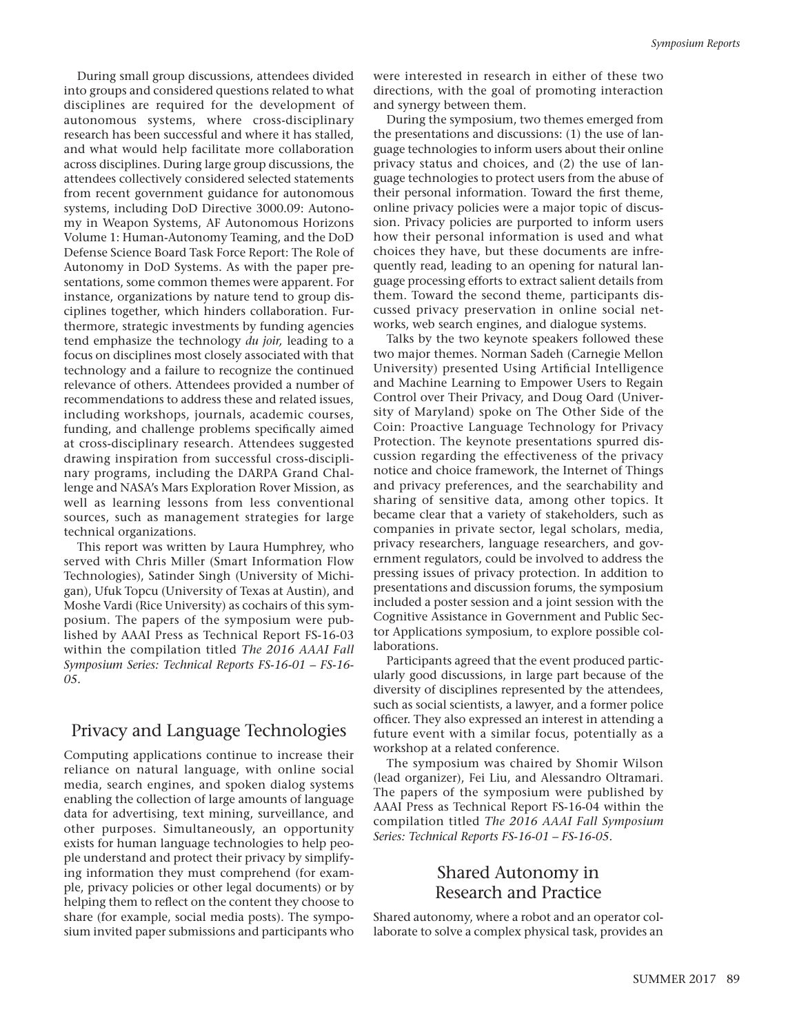During small group discussions, attendees divided into groups and considered questions related to what disciplines are required for the development of autonomous systems, where cross-disciplinary research has been successful and where it has stalled, and what would help facilitate more collaboration across disciplines. During large group discussions, the attendees collectively considered selected statements from recent government guidance for autonomous systems, including DoD Directive 3000.09: Autonomy in Weapon Systems, AF Autonomous Horizons Volume 1: Human-Autonomy Teaming, and the DoD Defense Science Board Task Force Report: The Role of Autonomy in DoD Systems. As with the paper presentations, some common themes were apparent. For instance, organizations by nature tend to group disciplines together, which hinders collaboration. Furthermore, strategic investments by funding agencies tend emphasize the technology *du joir,* leading to a focus on disciplines most closely associated with that technology and a failure to recognize the continued relevance of others. Attendees provided a number of recommendations to address these and related issues, including workshops, journals, academic courses, funding, and challenge problems specifically aimed at cross-disciplinary research. Attendees suggested drawing inspiration from successful cross-disciplinary programs, including the DARPA Grand Challenge and NASA's Mars Exploration Rover Mission, as well as learning lessons from less conventional sources, such as management strategies for large technical organizations.

This report was written by Laura Humphrey, who served with Chris Miller (Smart Information Flow Technologies), Satinder Singh (University of Michigan), Ufuk Topcu (University of Texas at Austin), and Moshe Vardi (Rice University) as cochairs of this symposium. The papers of the symposium were published by AAAI Press as Technical Report FS-16-03 within the compilation titled *The 2016 AAAI Fall Symposium Series: Technical Reports FS-16-01 – FS-16- 05.*

## Privacy and Language Technologies

Computing applications continue to increase their reliance on natural language, with online social media, search engines, and spoken dialog systems enabling the collection of large amounts of language data for advertising, text mining, surveillance, and other purposes. Simultaneously, an opportunity exists for human language technologies to help people understand and protect their privacy by simplifying information they must comprehend (for example, privacy policies or other legal documents) or by helping them to reflect on the content they choose to share (for example, social media posts). The symposium invited paper submissions and participants who were interested in research in either of these two directions, with the goal of promoting interaction and synergy between them.

During the symposium, two themes emerged from the presentations and discussions: (1) the use of language technologies to inform users about their online privacy status and choices, and (2) the use of language technologies to protect users from the abuse of their personal information. Toward the first theme, online privacy policies were a major topic of discussion. Privacy policies are purported to inform users how their personal information is used and what choices they have, but these documents are infrequently read, leading to an opening for natural language processing efforts to extract salient details from them. Toward the second theme, participants discussed privacy preservation in online social networks, web search engines, and dialogue systems.

Talks by the two keynote speakers followed these two major themes. Norman Sadeh (Carnegie Mellon University) presented Using Artificial Intelligence and Machine Learning to Empower Users to Regain Control over Their Privacy, and Doug Oard (University of Maryland) spoke on The Other Side of the Coin: Proactive Language Technology for Privacy Protection. The keynote presentations spurred discussion regarding the effectiveness of the privacy notice and choice framework, the Internet of Things and privacy preferences, and the searchability and sharing of sensitive data, among other topics. It became clear that a variety of stakeholders, such as companies in private sector, legal scholars, media, privacy researchers, language researchers, and government regulators, could be involved to address the pressing issues of privacy protection. In addition to presentations and discussion forums, the symposium included a poster session and a joint session with the Cognitive Assistance in Government and Public Sector Applications symposium, to explore possible collaborations.

Participants agreed that the event produced particularly good discussions, in large part because of the diversity of disciplines represented by the attendees, such as social scientists, a lawyer, and a former police officer. They also expressed an interest in attending a future event with a similar focus, potentially as a workshop at a related conference.

The symposium was chaired by Shomir Wilson (lead organizer), Fei Liu, and Alessandro Oltramari. The papers of the symposium were published by AAAI Press as Technical Report FS-16-04 within the compilation titled *The 2016 AAAI Fall Symposium Series: Technical Reports FS-16-01 – FS-16-05.*

#### Shared Autonomy in Research and Practice

Shared autonomy, where a robot and an operator collaborate to solve a complex physical task, provides an